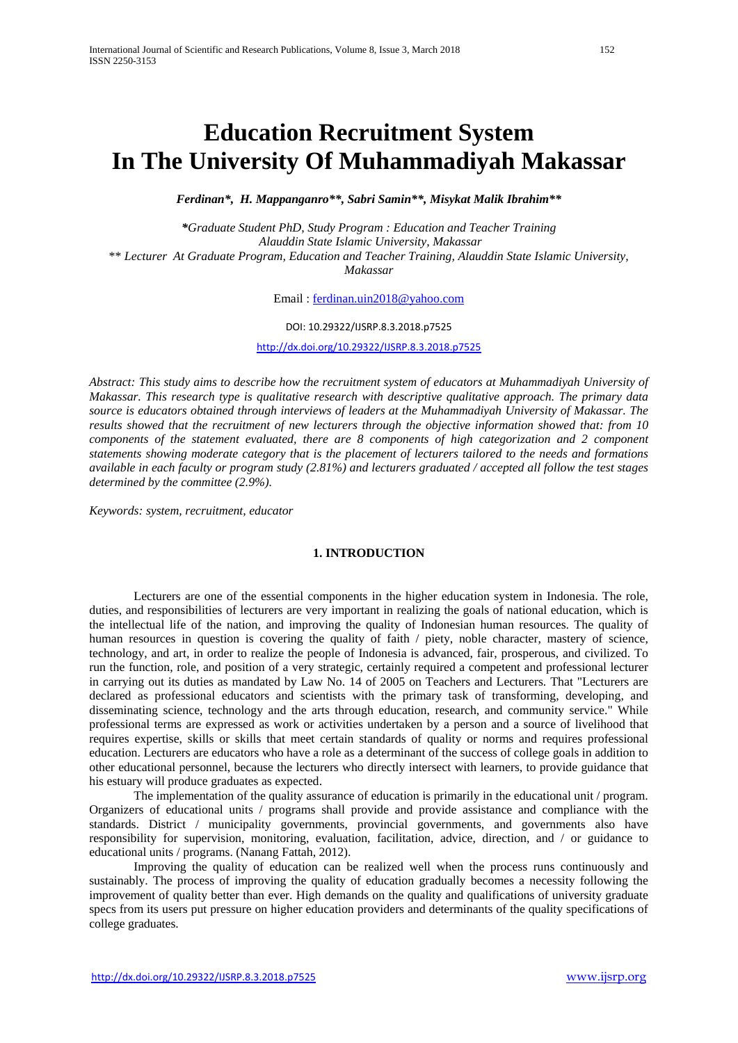# **Education Recruitment System In The University Of Muhammadiyah Makassar**

*Ferdinan\*, H. Mappanganro\*\*, Sabri Samin\*\*, Misykat Malik Ibrahim\*\**

*\*Graduate Student PhD, Study Program : Education and Teacher Training Alauddin State Islamic University, Makassar* \*\* *Lecturer At Graduate Program, Education and Teacher Training, Alauddin State Islamic University, Makassar*

Email : [ferdinan.uin2018@yahoo.com](mailto:ferdinan.uin2018@yahoo.com)

### DOI: 10.29322/IJSRP.8.3.2018.p7525

<http://dx.doi.org/10.29322/IJSRP.8.3.2018.p7525>

*Abstract: This study aims to describe how the recruitment system of educators at Muhammadiyah University of Makassar. This research type is qualitative research with descriptive qualitative approach. The primary data source is educators obtained through interviews of leaders at the Muhammadiyah University of Makassar. The results showed that the recruitment of new lecturers through the objective information showed that: from 10 components of the statement evaluated, there are 8 components of high categorization and 2 component statements showing moderate category that is the placement of lecturers tailored to the needs and formations available in each faculty or program study (2.81%) and lecturers graduated / accepted all follow the test stages determined by the committee (2.9%).*

*Keywords: system, recruitment, educator*

# **1. INTRODUCTION**

Lecturers are one of the essential components in the higher education system in Indonesia. The role, duties, and responsibilities of lecturers are very important in realizing the goals of national education, which is the intellectual life of the nation, and improving the quality of Indonesian human resources. The quality of human resources in question is covering the quality of faith / piety, noble character, mastery of science, technology, and art, in order to realize the people of Indonesia is advanced, fair, prosperous, and civilized. To run the function, role, and position of a very strategic, certainly required a competent and professional lecturer in carrying out its duties as mandated by Law No. 14 of 2005 on Teachers and Lecturers. That "Lecturers are declared as professional educators and scientists with the primary task of transforming, developing, and disseminating science, technology and the arts through education, research, and community service." While professional terms are expressed as work or activities undertaken by a person and a source of livelihood that requires expertise, skills or skills that meet certain standards of quality or norms and requires professional education. Lecturers are educators who have a role as a determinant of the success of college goals in addition to other educational personnel, because the lecturers who directly intersect with learners, to provide guidance that his estuary will produce graduates as expected.

The implementation of the quality assurance of education is primarily in the educational unit / program. Organizers of educational units / programs shall provide and provide assistance and compliance with the standards. District / municipality governments, provincial governments, and governments also have responsibility for supervision, monitoring, evaluation, facilitation, advice, direction, and / or guidance to educational units / programs. (Nanang Fattah, 2012).

Improving the quality of education can be realized well when the process runs continuously and sustainably. The process of improving the quality of education gradually becomes a necessity following the improvement of quality better than ever. High demands on the quality and qualifications of university graduate specs from its users put pressure on higher education providers and determinants of the quality specifications of college graduates.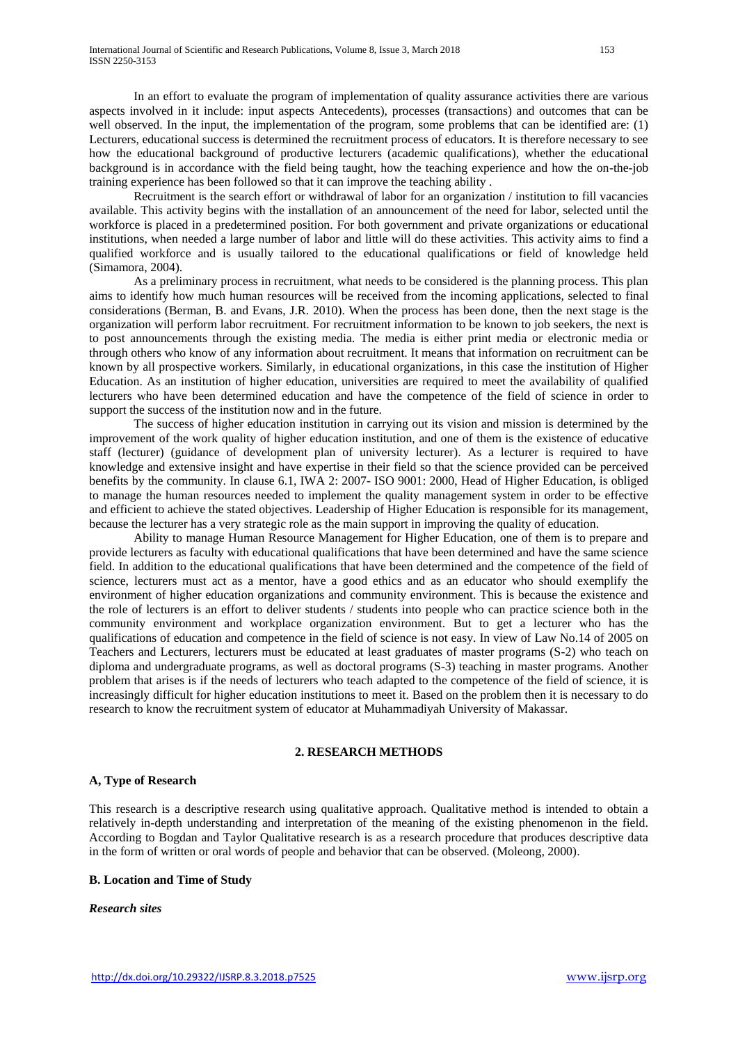In an effort to evaluate the program of implementation of quality assurance activities there are various aspects involved in it include: input aspects Antecedents), processes (transactions) and outcomes that can be well observed. In the input, the implementation of the program, some problems that can be identified are: (1) Lecturers, educational success is determined the recruitment process of educators. It is therefore necessary to see how the educational background of productive lecturers (academic qualifications), whether the educational background is in accordance with the field being taught, how the teaching experience and how the on-the-job training experience has been followed so that it can improve the teaching ability .

Recruitment is the search effort or withdrawal of labor for an organization / institution to fill vacancies available. This activity begins with the installation of an announcement of the need for labor, selected until the workforce is placed in a predetermined position. For both government and private organizations or educational institutions, when needed a large number of labor and little will do these activities. This activity aims to find a qualified workforce and is usually tailored to the educational qualifications or field of knowledge held (Simamora, 2004).

As a preliminary process in recruitment, what needs to be considered is the planning process. This plan aims to identify how much human resources will be received from the incoming applications, selected to final considerations (Berman, B. and Evans, J.R. 2010). When the process has been done, then the next stage is the organization will perform labor recruitment. For recruitment information to be known to job seekers, the next is to post announcements through the existing media. The media is either print media or electronic media or through others who know of any information about recruitment. It means that information on recruitment can be known by all prospective workers. Similarly, in educational organizations, in this case the institution of Higher Education. As an institution of higher education, universities are required to meet the availability of qualified lecturers who have been determined education and have the competence of the field of science in order to support the success of the institution now and in the future.

The success of higher education institution in carrying out its vision and mission is determined by the improvement of the work quality of higher education institution, and one of them is the existence of educative staff (lecturer) (guidance of development plan of university lecturer). As a lecturer is required to have knowledge and extensive insight and have expertise in their field so that the science provided can be perceived benefits by the community. In clause 6.1, IWA 2: 2007- ISO 9001: 2000, Head of Higher Education, is obliged to manage the human resources needed to implement the quality management system in order to be effective and efficient to achieve the stated objectives. Leadership of Higher Education is responsible for its management, because the lecturer has a very strategic role as the main support in improving the quality of education.

Ability to manage Human Resource Management for Higher Education, one of them is to prepare and provide lecturers as faculty with educational qualifications that have been determined and have the same science field. In addition to the educational qualifications that have been determined and the competence of the field of science, lecturers must act as a mentor, have a good ethics and as an educator who should exemplify the environment of higher education organizations and community environment. This is because the existence and the role of lecturers is an effort to deliver students / students into people who can practice science both in the community environment and workplace organization environment. But to get a lecturer who has the qualifications of education and competence in the field of science is not easy. In view of Law No.14 of 2005 on Teachers and Lecturers, lecturers must be educated at least graduates of master programs (S-2) who teach on diploma and undergraduate programs, as well as doctoral programs (S-3) teaching in master programs. Another problem that arises is if the needs of lecturers who teach adapted to the competence of the field of science, it is increasingly difficult for higher education institutions to meet it. Based on the problem then it is necessary to do research to know the recruitment system of educator at Muhammadiyah University of Makassar.

### **2. RESEARCH METHODS**

#### **A, Type of Research**

This research is a descriptive research using qualitative approach. Qualitative method is intended to obtain a relatively in-depth understanding and interpretation of the meaning of the existing phenomenon in the field. According to Bogdan and Taylor Qualitative research is as a research procedure that produces descriptive data in the form of written or oral words of people and behavior that can be observed. (Moleong, 2000).

#### **B. Location and Time of Study**

#### *Research sites*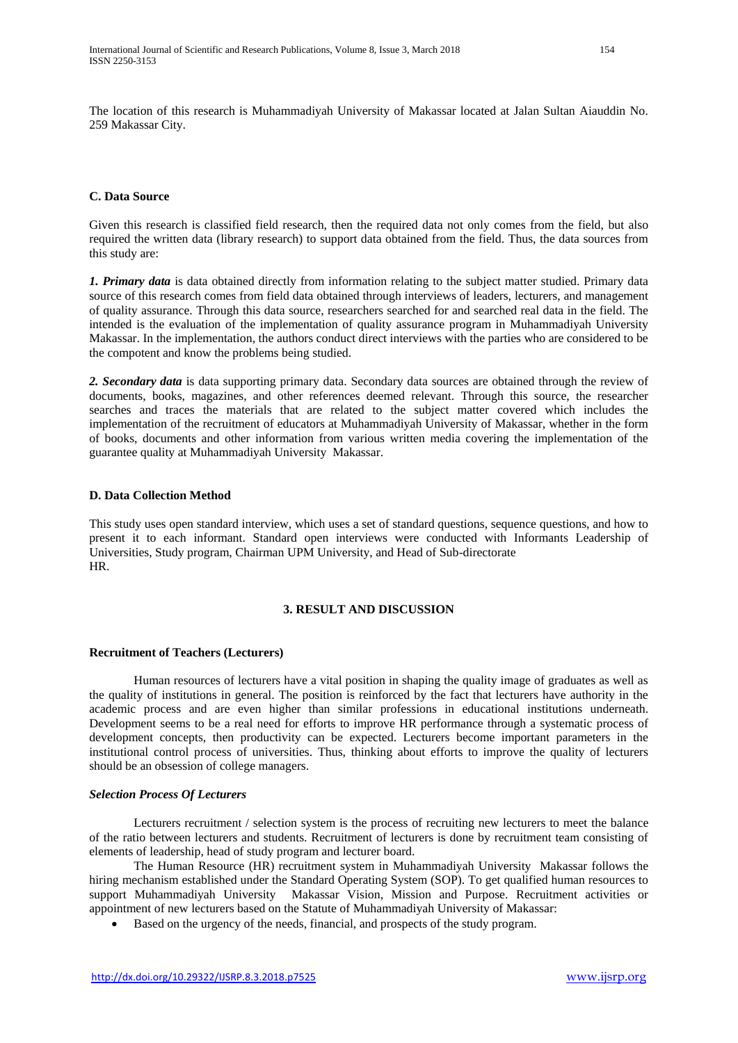The location of this research is Muhammadiyah University of Makassar located at Jalan Sultan Aiauddin No. 259 Makassar City.

### **C. Data Source**

Given this research is classified field research, then the required data not only comes from the field, but also required the written data (library research) to support data obtained from the field. Thus, the data sources from this study are:

*1. Primary data* is data obtained directly from information relating to the subject matter studied. Primary data source of this research comes from field data obtained through interviews of leaders, lecturers, and management of quality assurance. Through this data source, researchers searched for and searched real data in the field. The intended is the evaluation of the implementation of quality assurance program in Muhammadiyah University Makassar. In the implementation, the authors conduct direct interviews with the parties who are considered to be the compotent and know the problems being studied.

*2. Secondary data* is data supporting primary data. Secondary data sources are obtained through the review of documents, books, magazines, and other references deemed relevant. Through this source, the researcher searches and traces the materials that are related to the subject matter covered which includes the implementation of the recruitment of educators at Muhammadiyah University of Makassar, whether in the form of books, documents and other information from various written media covering the implementation of the guarantee quality at Muhammadiyah University Makassar.

#### **D. Data Collection Method**

This study uses open standard interview, which uses a set of standard questions, sequence questions, and how to present it to each informant. Standard open interviews were conducted with Informants Leadership of Universities, Study program, Chairman UPM University, and Head of Sub-directorate HR.

### **3. RESULT AND DISCUSSION**

#### **Recruitment of Teachers (Lecturers)**

Human resources of lecturers have a vital position in shaping the quality image of graduates as well as the quality of institutions in general. The position is reinforced by the fact that lecturers have authority in the academic process and are even higher than similar professions in educational institutions underneath. Development seems to be a real need for efforts to improve HR performance through a systematic process of development concepts, then productivity can be expected. Lecturers become important parameters in the institutional control process of universities. Thus, thinking about efforts to improve the quality of lecturers should be an obsession of college managers.

#### *Selection Process Of Lecturers*

Lecturers recruitment / selection system is the process of recruiting new lecturers to meet the balance of the ratio between lecturers and students. Recruitment of lecturers is done by recruitment team consisting of elements of leadership, head of study program and lecturer board.

The Human Resource (HR) recruitment system in Muhammadiyah University Makassar follows the hiring mechanism established under the Standard Operating System (SOP). To get qualified human resources to support Muhammadiyah University Makassar Vision, Mission and Purpose. Recruitment activities or appointment of new lecturers based on the Statute of Muhammadiyah University of Makassar:

Based on the urgency of the needs, financial, and prospects of the study program.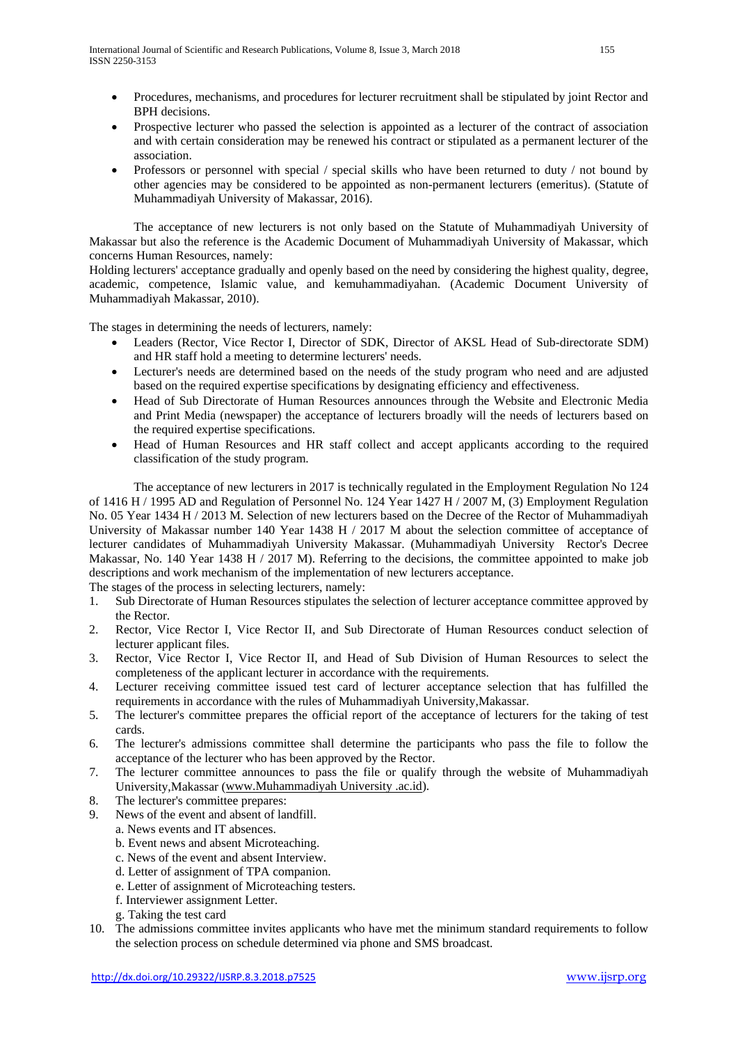- Procedures, mechanisms, and procedures for lecturer recruitment shall be stipulated by joint Rector and BPH decisions.
- Prospective lecturer who passed the selection is appointed as a lecturer of the contract of association and with certain consideration may be renewed his contract or stipulated as a permanent lecturer of the association.
- Professors or personnel with special / special skills who have been returned to duty / not bound by other agencies may be considered to be appointed as non-permanent lecturers (emeritus). (Statute of Muhammadiyah University of Makassar, 2016).

The acceptance of new lecturers is not only based on the Statute of Muhammadiyah University of Makassar but also the reference is the Academic Document of Muhammadiyah University of Makassar, which concerns Human Resources, namely:

Holding lecturers' acceptance gradually and openly based on the need by considering the highest quality, degree, academic, competence, Islamic value, and kemuhammadiyahan. (Academic Document University of Muhammadiyah Makassar, 2010).

The stages in determining the needs of lecturers, namely:

- Leaders (Rector, Vice Rector I, Director of SDK, Director of AKSL Head of Sub-directorate SDM) and HR staff hold a meeting to determine lecturers' needs.
- Lecturer's needs are determined based on the needs of the study program who need and are adjusted based on the required expertise specifications by designating efficiency and effectiveness.
- Head of Sub Directorate of Human Resources announces through the Website and Electronic Media and Print Media (newspaper) the acceptance of lecturers broadly will the needs of lecturers based on the required expertise specifications.
- Head of Human Resources and HR staff collect and accept applicants according to the required classification of the study program.

The acceptance of new lecturers in 2017 is technically regulated in the Employment Regulation No 124 of 1416 H / 1995 AD and Regulation of Personnel No. 124 Year 1427 H / 2007 M, (3) Employment Regulation No. 05 Year 1434 H / 2013 M. Selection of new lecturers based on the Decree of the Rector of Muhammadiyah University of Makassar number 140 Year 1438 H / 2017 M about the selection committee of acceptance of lecturer candidates of Muhammadiyah University Makassar. (Muhammadiyah University Rector's Decree Makassar, No. 140 Year 1438 H / 2017 M). Referring to the decisions, the committee appointed to make job descriptions and work mechanism of the implementation of new lecturers acceptance.

The stages of the process in selecting lecturers, namely:

- 1. Sub Directorate of Human Resources stipulates the selection of lecturer acceptance committee approved by the Rector.
- 2. Rector, Vice Rector I, Vice Rector II, and Sub Directorate of Human Resources conduct selection of lecturer applicant files.
- 3. Rector, Vice Rector I, Vice Rector II, and Head of Sub Division of Human Resources to select the completeness of the applicant lecturer in accordance with the requirements.
- 4. Lecturer receiving committee issued test card of lecturer acceptance selection that has fulfilled the requirements in accordance with the rules of Muhammadiyah University,Makassar.
- 5. The lecturer's committee prepares the official report of the acceptance of lecturers for the taking of test cards.
- 6. The lecturer's admissions committee shall determine the participants who pass the file to follow the acceptance of the lecturer who has been approved by the Rector.
- 7. The lecturer committee announces to pass the file or qualify through the website of Muhammadiyah University,Makassar [\(www.Muhammadiyah University .ac.id\)](http://www.unismuh.ac.id/).
- 8. The lecturer's committee prepares:
- 9. News of the event and absent of landfill.
	- a. News events and IT absences.
	- b. Event news and absent Microteaching.
	- c. News of the event and absent Interview.
	- d. Letter of assignment of TPA companion.
	- e. Letter of assignment of Microteaching testers.
	- f. Interviewer assignment Letter.
	- g. Taking the test card
- 10. The admissions committee invites applicants who have met the minimum standard requirements to follow the selection process on schedule determined via phone and SMS broadcast.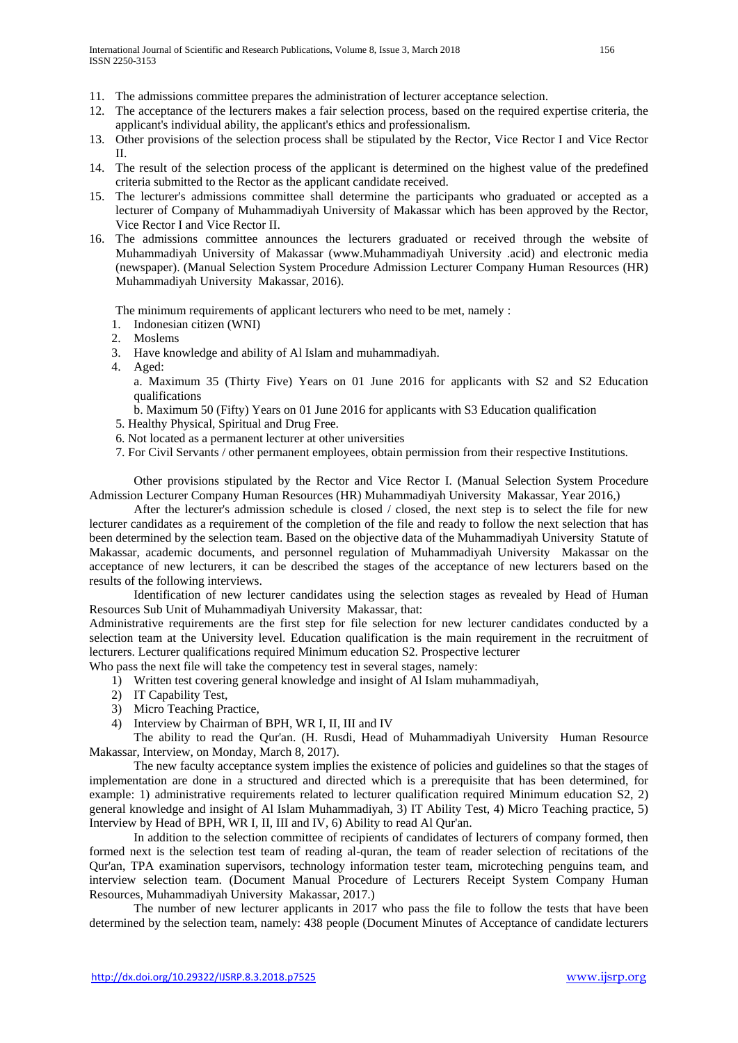- 11. The admissions committee prepares the administration of lecturer acceptance selection.
- 12. The acceptance of the lecturers makes a fair selection process, based on the required expertise criteria, the applicant's individual ability, the applicant's ethics and professionalism.
- 13. Other provisions of the selection process shall be stipulated by the Rector, Vice Rector I and Vice Rector II.
- 14. The result of the selection process of the applicant is determined on the highest value of the predefined criteria submitted to the Rector as the applicant candidate received.
- 15. The lecturer's admissions committee shall determine the participants who graduated or accepted as a lecturer of Company of Muhammadiyah University of Makassar which has been approved by the Rector, Vice Rector I and Vice Rector II.
- 16. The admissions committee announces the lecturers graduated or received through the website of Muhammadiyah University of Makassar (www.Muhammadiyah University .acid) and electronic media (newspaper). (Manual Selection System Procedure Admission Lecturer Company Human Resources (HR) Muhammadiyah University Makassar, 2016).

The minimum requirements of applicant lecturers who need to be met, namely :

- 1. Indonesian citizen (WNI)
- 2. Moslems
- 3. Have knowledge and ability of Al Islam and muhammadiyah.
- 4. Aged:
	- a. Maximum 35 (Thirty Five) Years on 01 June 2016 for applicants with S2 and S2 Education qualifications
	- b. Maximum 50 (Fifty) Years on 01 June 2016 for applicants with S3 Education qualification
- 5. Healthy Physical, Spiritual and Drug Free.
- 6. Not located as a permanent lecturer at other universities
- 7. For Civil Servants / other permanent employees, obtain permission from their respective Institutions.

Other provisions stipulated by the Rector and Vice Rector I. (Manual Selection System Procedure Admission Lecturer Company Human Resources (HR) Muhammadiyah University Makassar, Year 2016,)

After the lecturer's admission schedule is closed / closed, the next step is to select the file for new lecturer candidates as a requirement of the completion of the file and ready to follow the next selection that has been determined by the selection team. Based on the objective data of the Muhammadiyah University Statute of Makassar, academic documents, and personnel regulation of Muhammadiyah University Makassar on the acceptance of new lecturers, it can be described the stages of the acceptance of new lecturers based on the results of the following interviews.

Identification of new lecturer candidates using the selection stages as revealed by Head of Human Resources Sub Unit of Muhammadiyah University Makassar, that:

Administrative requirements are the first step for file selection for new lecturer candidates conducted by a selection team at the University level. Education qualification is the main requirement in the recruitment of lecturers. Lecturer qualifications required Minimum education S2. Prospective lecturer

Who pass the next file will take the competency test in several stages, namely:

- 1) Written test covering general knowledge and insight of Al Islam muhammadiyah,
- 2) IT Capability Test,
- 3) Micro Teaching Practice,
- 4) Interview by Chairman of BPH, WR I, II, III and IV

The ability to read the Qur'an. (H. Rusdi, Head of Muhammadiyah University Human Resource Makassar, Interview, on Monday, March 8, 2017).

The new faculty acceptance system implies the existence of policies and guidelines so that the stages of implementation are done in a structured and directed which is a prerequisite that has been determined, for example: 1) administrative requirements related to lecturer qualification required Minimum education S2, 2) general knowledge and insight of Al Islam Muhammadiyah, 3) IT Ability Test, 4) Micro Teaching practice, 5) Interview by Head of BPH, WR I, II, III and IV, 6) Ability to read Al Qur'an.

In addition to the selection committee of recipients of candidates of lecturers of company formed, then formed next is the selection test team of reading al-quran, the team of reader selection of recitations of the Qur'an, TPA examination supervisors, technology information tester team, microteching penguins team, and interview selection team. (Document Manual Procedure of Lecturers Receipt System Company Human Resources, Muhammadiyah University Makassar, 2017.)

The number of new lecturer applicants in 2017 who pass the file to follow the tests that have been determined by the selection team, namely: 438 people (Document Minutes of Acceptance of candidate lecturers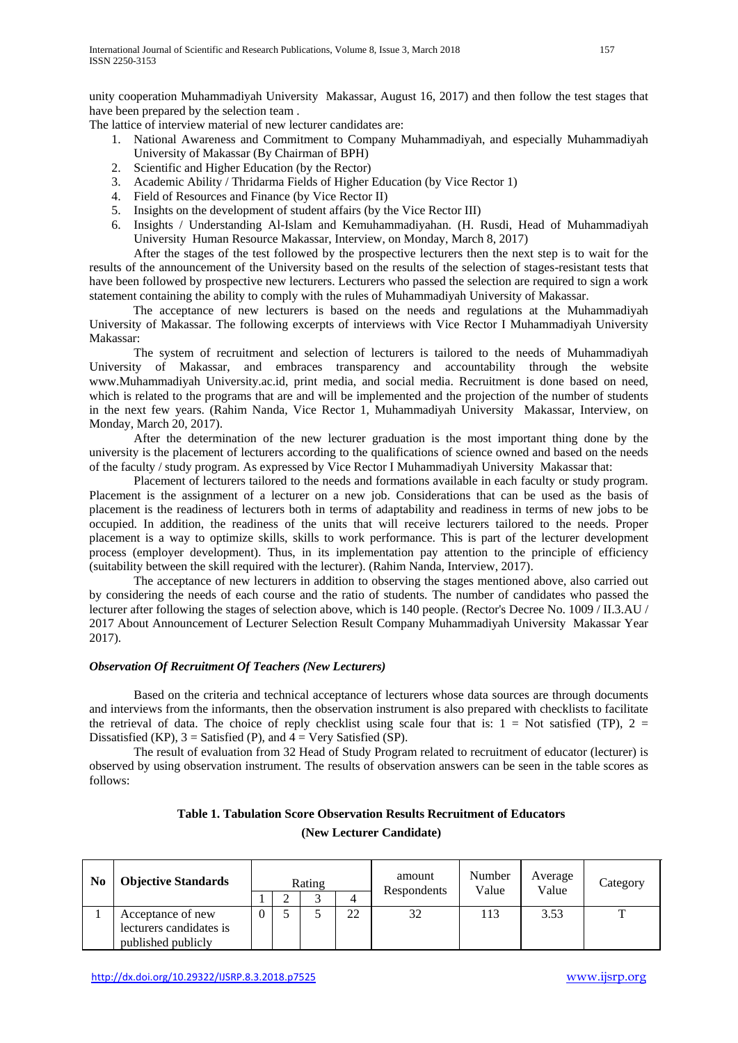unity cooperation Muhammadiyah University Makassar, August 16, 2017) and then follow the test stages that have been prepared by the selection team .

The lattice of interview material of new lecturer candidates are:

- 1. National Awareness and Commitment to Company Muhammadiyah, and especially Muhammadiyah University of Makassar (By Chairman of BPH)
- 2. Scientific and Higher Education (by the Rector)
- 3. Academic Ability / Thridarma Fields of Higher Education (by Vice Rector 1)
- 4. Field of Resources and Finance (by Vice Rector II)
- 5. Insights on the development of student affairs (by the Vice Rector III)
- 6. Insights / Understanding Al-Islam and Kemuhammadiyahan. (H. Rusdi, Head of Muhammadiyah University Human Resource Makassar, Interview, on Monday, March 8, 2017)

After the stages of the test followed by the prospective lecturers then the next step is to wait for the results of the announcement of the University based on the results of the selection of stages-resistant tests that have been followed by prospective new lecturers. Lecturers who passed the selection are required to sign a work statement containing the ability to comply with the rules of Muhammadiyah University of Makassar.

The acceptance of new lecturers is based on the needs and regulations at the Muhammadiyah University of Makassar. The following excerpts of interviews with Vice Rector I Muhammadiyah University Makassar:

The system of recruitment and selection of lecturers is tailored to the needs of Muhammadiyah University of Makassar, and embraces transparency and accountability through the website www.Muhammadiyah University.ac.id, print media, and social media. Recruitment is done based on need, which is related to the programs that are and will be implemented and the projection of the number of students in the next few years. (Rahim Nanda, Vice Rector 1, Muhammadiyah University Makassar, Interview, on Monday, March 20, 2017).

After the determination of the new lecturer graduation is the most important thing done by the university is the placement of lecturers according to the qualifications of science owned and based on the needs of the faculty / study program. As expressed by Vice Rector I Muhammadiyah University Makassar that:

Placement of lecturers tailored to the needs and formations available in each faculty or study program. Placement is the assignment of a lecturer on a new job. Considerations that can be used as the basis of placement is the readiness of lecturers both in terms of adaptability and readiness in terms of new jobs to be occupied. In addition, the readiness of the units that will receive lecturers tailored to the needs. Proper placement is a way to optimize skills, skills to work performance. This is part of the lecturer development process (employer development). Thus, in its implementation pay attention to the principle of efficiency (suitability between the skill required with the lecturer). (Rahim Nanda, Interview, 2017).

The acceptance of new lecturers in addition to observing the stages mentioned above, also carried out by considering the needs of each course and the ratio of students. The number of candidates who passed the lecturer after following the stages of selection above, which is 140 people. (Rector's Decree No. 1009 / II.3.AU / 2017 About Announcement of Lecturer Selection Result Company Muhammadiyah University Makassar Year 2017).

## *Observation Of Recruitment Of Teachers (New Lecturers)*

Based on the criteria and technical acceptance of lecturers whose data sources are through documents and interviews from the informants, then the observation instrument is also prepared with checklists to facilitate the retrieval of data. The choice of reply checklist using scale four that is:  $1 = Not$  satisfied (TP),  $2 =$ Dissatisfied (KP),  $3 =$  Satisfied (P), and  $4 =$  Very Satisfied (SP).

The result of evaluation from 32 Head of Study Program related to recruitment of educator (lecturer) is observed by using observation instrument. The results of observation answers can be seen in the table scores as follows:

| Table 1. Tabulation Score Observation Results Recruitment of Educators |  |  |  |  |  |  |  |  |
|------------------------------------------------------------------------|--|--|--|--|--|--|--|--|
| (New Lecturer Candidate)                                               |  |  |  |  |  |  |  |  |

| N <sub>0</sub> | <b>Objective Standards</b> |  | Rating |    | amount<br>Respondents | Number<br>Value | Average<br>Value | Category |
|----------------|----------------------------|--|--------|----|-----------------------|-----------------|------------------|----------|
|                |                            |  |        |    |                       |                 |                  |          |
|                | Acceptance of new          |  |        | 22 | 32                    | 113             | 3.53             | m        |
|                | lecturers candidates is    |  |        |    |                       |                 |                  |          |
|                | published publicly         |  |        |    |                       |                 |                  |          |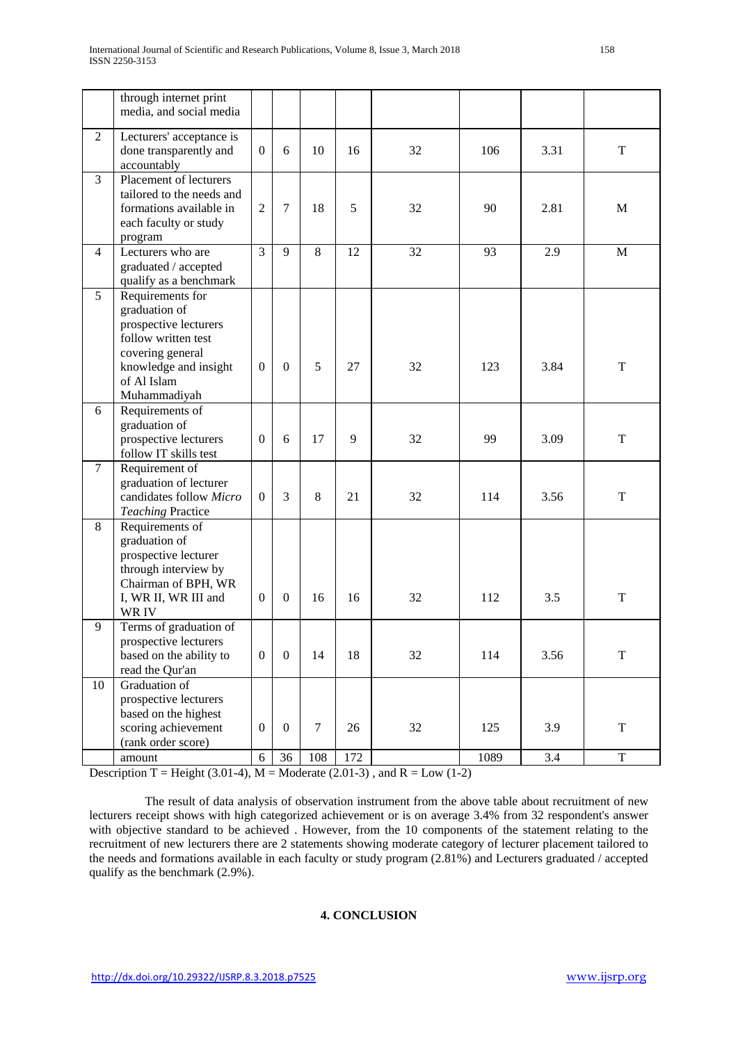|                | through internet print<br>media, and social media                                                                                                             |                  |                  |        |     |    |      |      |             |
|----------------|---------------------------------------------------------------------------------------------------------------------------------------------------------------|------------------|------------------|--------|-----|----|------|------|-------------|
| $\overline{2}$ | Lecturers' acceptance is<br>done transparently and<br>accountably                                                                                             | $\overline{0}$   | 6                | 10     | 16  | 32 | 106  | 3.31 | T           |
| $\overline{3}$ | Placement of lecturers<br>tailored to the needs and<br>formations available in<br>each faculty or study<br>program                                            | $\overline{2}$   | $\overline{7}$   | 18     | 5   | 32 | 90   | 2.81 | M           |
| $\overline{4}$ | Lecturers who are<br>graduated / accepted<br>qualify as a benchmark                                                                                           | 3                | 9                | 8      | 12  | 32 | 93   | 2.9  | M           |
| 5              | Requirements for<br>graduation of<br>prospective lecturers<br>follow written test<br>covering general<br>knowledge and insight<br>of Al Islam<br>Muhammadiyah | $\boldsymbol{0}$ | $\mathbf{0}$     | 5      | 27  | 32 | 123  | 3.84 | T           |
| 6              | Requirements of<br>graduation of<br>prospective lecturers<br>follow IT skills test                                                                            | $\overline{0}$   | 6                | 17     | 9   | 32 | 99   | 3.09 | T           |
| $\overline{7}$ | Requirement of<br>graduation of lecturer<br>candidates follow Micro<br><b>Teaching Practice</b>                                                               | $\Omega$         | $\overline{3}$   | 8      | 21  | 32 | 114  | 3.56 | T           |
| 8              | Requirements of<br>graduation of<br>prospective lecturer<br>through interview by<br>Chairman of BPH, WR<br>I, WR II, WR III and<br>WR IV                      | $\Omega$         | $\boldsymbol{0}$ | 16     | 16  | 32 | 112  | 3.5  | T           |
| 9              | Terms of graduation of<br>prospective lecturers<br>based on the ability to<br>read the Qur'an                                                                 | $\overline{0}$   | $\boldsymbol{0}$ | 14     | 18  | 32 | 114  | 3.56 | T           |
| 10             | Graduation of<br>prospective lecturers<br>based on the highest<br>scoring achievement<br>(rank order score)                                                   | $\overline{0}$   | $\mathbf{0}$     | $\tau$ | 26  | 32 | 125  | 3.9  | T           |
|                | amount                                                                                                                                                        | 6                | 36               | 108    | 172 |    | 1089 | 3.4  | $\mathbf T$ |

Description T = Height (3.01-4),  $M =$  Moderate (2.01-3), and R = Low (1-2)

The result of data analysis of observation instrument from the above table about recruitment of new lecturers receipt shows with high categorized achievement or is on average 3.4% from 32 respondent's answer with objective standard to be achieved . However, from the 10 components of the statement relating to the recruitment of new lecturers there are 2 statements showing moderate category of lecturer placement tailored to the needs and formations available in each faculty or study program (2.81%) and Lecturers graduated / accepted qualify as the benchmark (2.9%).

## **4. CONCLUSION**